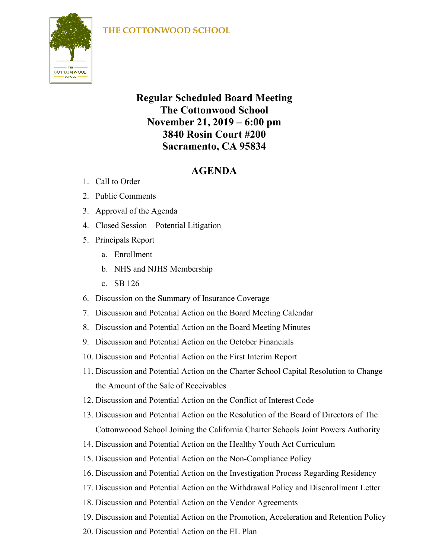## **THE COTTONWOOD SCHOOL**



## **Regular Scheduled Board Meeting The Cottonwood School November 21, 2019 – 6:00 pm 3840 Rosin Court #200 Sacramento, CA 95834**

## **AGENDA**

- 1. Call to Order
- 2. Public Comments
- 3. Approval of the Agenda
- 4. Closed Session Potential Litigation
- 5. Principals Report
	- a. Enrollment
	- b. NHS and NJHS Membership
	- c. SB 126
- 6. Discussion on the Summary of Insurance Coverage
- 7. Discussion and Potential Action on the Board Meeting Calendar
- 8. Discussion and Potential Action on the Board Meeting Minutes
- 9. Discussion and Potential Action on the October Financials
- 10. Discussion and Potential Action on the First Interim Report
- 11. Discussion and Potential Action on the Charter School Capital Resolution to Change the Amount of the Sale of Receivables
- 12. Discussion and Potential Action on the Conflict of Interest Code
- 13. Discussion and Potential Action on the Resolution of the Board of Directors of The Cottonwoood School Joining the California Charter Schools Joint Powers Authority
- 14. Discussion and Potential Action on the Healthy Youth Act Curriculum
- 15. Discussion and Potential Action on the Non-Compliance Policy
- 16. Discussion and Potential Action on the Investigation Process Regarding Residency
- 17. Discussion and Potential Action on the Withdrawal Policy and Disenrollment Letter
- 18. Discussion and Potential Action on the Vendor Agreements
- 19. Discussion and Potential Action on the Promotion, Acceleration and Retention Policy
- 20. Discussion and Potential Action on the EL Plan